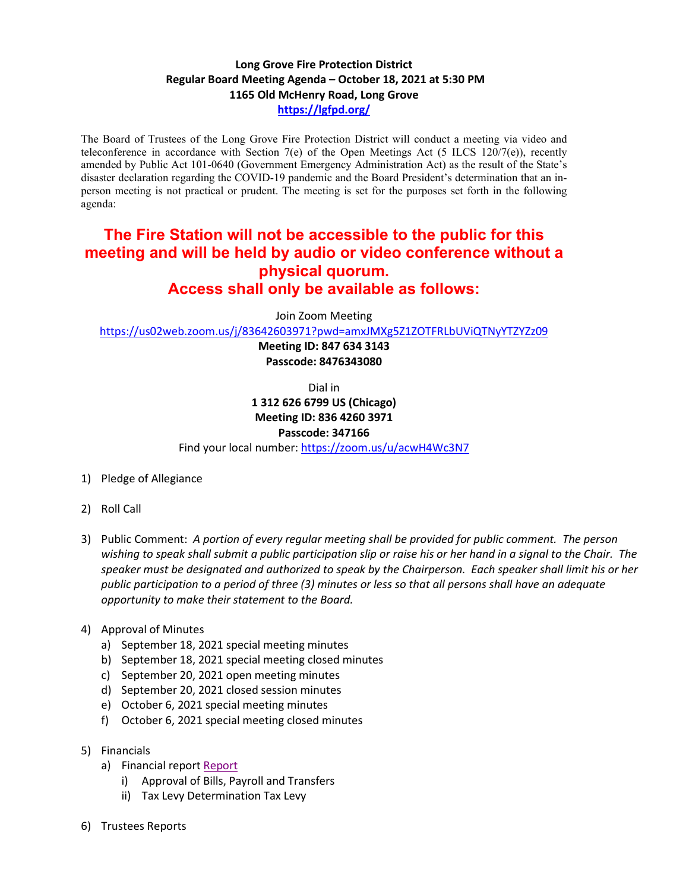## **Long Grove Fire Protection District Regular Board Meeting Agenda – October 18, 2021 at 5:30 PM 1165 Old McHenry Road, Long Grove <https://lgfpd.org/>**

The Board of Trustees of the Long Grove Fire Protection District will conduct a meeting via video and teleconference in accordance with Section 7(e) of the Open Meetings Act (5 ILCS 120/7(e)), recently amended by Public Act 101-0640 (Government Emergency Administration Act) as the result of the State's disaster declaration regarding the COVID-19 pandemic and the Board President's determination that an inperson meeting is not practical or prudent. The meeting is set for the purposes set forth in the following agenda:

## **The Fire Station will not be accessible to the public for this meeting and will be held by audio or video conference without a physical quorum. Access shall only be available as follows:**

Join Zoom Meeting

<https://us02web.zoom.us/j/83642603971?pwd=amxJMXg5Z1ZOTFRLbUViQTNyYTZYZz09>

**Meeting ID: 847 634 3143 Passcode: 8476343080**

Dial in

**1 312 626 6799 US (Chicago) Meeting ID: 836 4260 3971**

## **Passcode: 347166**

Find your local number[: https://zoom.us/u/acwH4Wc3N7](https://zoom.us/u/acwH4Wc3N7)

- 1) Pledge of Allegiance
- 2) Roll Call
- 3) Public Comment: *A portion of every regular meeting shall be provided for public comment. The person wishing to speak shall submit a public participation slip or raise his or her hand in a signal to the Chair. The speaker must be designated and authorized to speak by the Chairperson. Each speaker shall limit his or her public participation to a period of three (3) minutes or less so that all persons shall have an adequate opportunity to make their statement to the Board.*
- 4) Approval of Minutes
	- a) September 18, 2021 special meeting minutes
	- b) September 18, 2021 special meeting closed minutes
	- c) September 20, 2021 open meeting minutes
	- d) September 20, 2021 closed session minutes
	- e) October 6, 2021 special meeting minutes
	- f) October 6, 2021 special meeting closed minutes
- 5) Financials
	- a) Financial report [Report](https://itgophers.sharepoint.com/:b:/s/SharedDocs/EZlQgfyuHYtIiy2n7bWkfVQBOvkvfJ3ry8B9S9_VotyETg?e=glSQhd)
		- i) Approval of Bills, Payroll and Transfers
		- ii) Tax Levy Determination Tax Levy
- 6) Trustees Reports